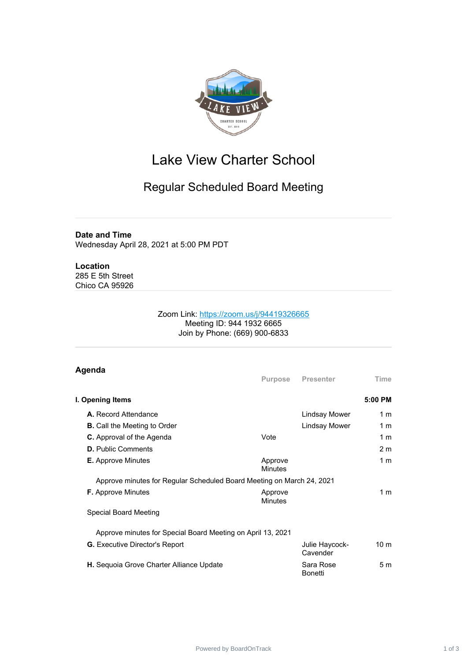

# Lake View Charter School

## Regular Scheduled Board Meeting

#### **Date and Time**

Wednesday April 28, 2021 at 5:00 PM PDT

### **Location**

285 E 5th Street Chico CA 95926

#### Zoom Link: <https://zoom.us/j/94419326665> Meeting ID: 944 1932 6665 Join by Phone: (669) 900-6833

| Agenda                                                                |                           |                             |                 |
|-----------------------------------------------------------------------|---------------------------|-----------------------------|-----------------|
|                                                                       | <b>Purpose</b>            | <b>Presenter</b>            | Time            |
| I. Opening Items                                                      |                           |                             | 5:00 PM         |
| A. Record Attendance                                                  |                           | Lindsay Mower               | 1 <sub>m</sub>  |
| <b>B.</b> Call the Meeting to Order                                   |                           | Lindsay Mower               | 1 m             |
| <b>C.</b> Approval of the Agenda                                      | Vote                      |                             | 1 <sub>m</sub>  |
| <b>D.</b> Public Comments                                             |                           |                             | 2 <sub>m</sub>  |
| <b>E.</b> Approve Minutes                                             | Approve<br>Minutes        |                             | 1 <sub>m</sub>  |
| Approve minutes for Regular Scheduled Board Meeting on March 24, 2021 |                           |                             |                 |
| <b>F.</b> Approve Minutes                                             | Approve<br><b>Minutes</b> |                             | 1 <sub>m</sub>  |
| <b>Special Board Meeting</b>                                          |                           |                             |                 |
| Approve minutes for Special Board Meeting on April 13, 2021           |                           |                             |                 |
| <b>G.</b> Executive Director's Report                                 |                           | Julie Haycock-<br>Cavender  | 10 <sub>m</sub> |
| H. Sequoia Grove Charter Alliance Update                              |                           | Sara Rose<br><b>Bonetti</b> | 5 <sub>m</sub>  |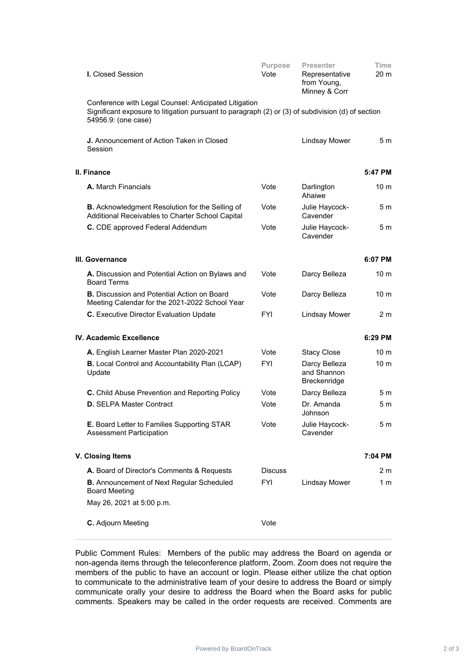| <b>I.</b> Closed Session                                                                                                                                                          | <b>Purpose</b><br>Vote | <b>Presenter</b><br>Representative<br>from Young,<br>Minney & Corr | Time<br>20 m    |
|-----------------------------------------------------------------------------------------------------------------------------------------------------------------------------------|------------------------|--------------------------------------------------------------------|-----------------|
| Conference with Legal Counsel: Anticipated Litigation<br>Significant exposure to litigation pursuant to paragraph (2) or (3) of subdivision (d) of section<br>54956.9: (one case) |                        |                                                                    |                 |
| <b>J.</b> Announcement of Action Taken in Closed<br>Session                                                                                                                       |                        | <b>Lindsay Mower</b>                                               | 5 m             |
| II. Finance                                                                                                                                                                       |                        |                                                                    | 5:47 PM         |
| A. March Financials                                                                                                                                                               | Vote                   | Darlington<br>Ahaiwe                                               | 10 <sub>m</sub> |
| <b>B.</b> Acknowledgment Resolution for the Selling of<br>Additional Receivables to Charter School Capital                                                                        | Vote                   | Julie Haycock-<br>Cavender                                         | 5m              |
| C. CDE approved Federal Addendum                                                                                                                                                  | Vote                   | Julie Haycock-<br>Cavender                                         | 5 m             |
| III. Governance                                                                                                                                                                   |                        |                                                                    | 6:07 PM         |
| A. Discussion and Potential Action on Bylaws and<br><b>Board Terms</b>                                                                                                            | Vote                   | Darcy Belleza                                                      | 10 m            |
| <b>B.</b> Discussion and Potential Action on Board<br>Meeting Calendar for the 2021-2022 School Year                                                                              | Vote                   | Darcy Belleza                                                      | 10 <sub>m</sub> |
| C. Executive Director Evaluation Update                                                                                                                                           | <b>FYI</b>             | <b>Lindsay Mower</b>                                               | 2 m             |
| IV. Academic Excellence                                                                                                                                                           |                        |                                                                    | 6:29 PM         |
| A. English Learner Master Plan 2020-2021                                                                                                                                          | Vote                   | <b>Stacy Close</b>                                                 | 10 <sub>m</sub> |
| <b>B.</b> Local Control and Accountability Plan (LCAP)<br>Update                                                                                                                  | <b>FYI</b>             | Darcy Belleza<br>and Shannon<br>Breckenridge                       | 10 <sub>m</sub> |
| C. Child Abuse Prevention and Reporting Policy                                                                                                                                    | Vote                   | Darcy Belleza                                                      | 5 m             |
| <b>D. SELPA Master Contract</b>                                                                                                                                                   | Vote                   | Dr. Amanda<br>Johnson                                              | 5 m             |
| E. Board Letter to Families Supporting STAR<br><b>Assessment Participation</b>                                                                                                    | Vote                   | Julie Haycock-<br>Cavender                                         | 5 m             |
| V. Closing Items                                                                                                                                                                  |                        |                                                                    | 7:04 PM         |
| A. Board of Director's Comments & Requests                                                                                                                                        | <b>Discuss</b>         |                                                                    | 2 m             |
| <b>B.</b> Announcement of Next Regular Scheduled<br><b>Board Meeting</b>                                                                                                          | FYI                    | <b>Lindsay Mower</b>                                               | 1 m             |
| May 26, 2021 at 5:00 p.m.                                                                                                                                                         |                        |                                                                    |                 |
| C. Adjourn Meeting                                                                                                                                                                | Vote                   |                                                                    |                 |

Public Comment Rules: Members of the public may address the Board on agenda or non-agenda items through the teleconference platform, Zoom. Zoom does not require the members of the public to have an account or login. Please either utilize the chat option to communicate to the administrative team of your desire to address the Board or simply communicate orally your desire to address the Board when the Board asks for public comments. Speakers may be called in the order requests are received. Comments are